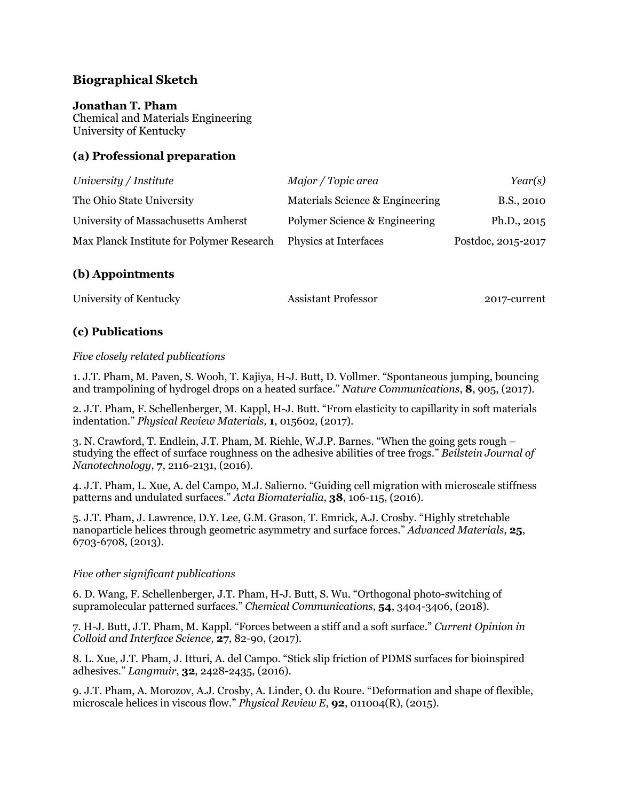# **Biographical Sketch**

#### **Jonathan T. Pham**

Chemical and Materials Engineering University of Kentucky

#### **(a) Professional preparation**

| University / Institute                    | Major / Topic area              | Year(s)            |
|-------------------------------------------|---------------------------------|--------------------|
| The Ohio State University                 | Materials Science & Engineering | B.S., 2010         |
| University of Massachusetts Amherst       | Polymer Science & Engineering   | Ph.D., 2015        |
| Max Planck Institute for Polymer Research | Physics at Interfaces           | Postdoc, 2015-2017 |

### **(b) Appointments**

| University of Kentucky | <b>Assistant Professor</b> | 2017-current |
|------------------------|----------------------------|--------------|
|------------------------|----------------------------|--------------|

### **(c) Publications**

#### *Five closely related publications*

1. J.T. Pham, M. Paven, S. Wooh, T. Kajiya, H-J. Butt, D. Vollmer. "Spontaneous jumping, bouncing and trampolining of hydrogel drops on a heated surface." *Nature Communications*, **8**, 905, (2017).

2. J.T. Pham, F. Schellenberger, M. Kappl, H-J. Butt. "From elasticity to capillarity in soft materials indentation." *Physical Review Materials,* **1**, 015602, (2017).

3. N. Crawford, T. Endlein, J.T. Pham, M. Riehle, W.J.P. Barnes. "When the going gets rough – studying the effect of surface roughness on the adhesive abilities of tree frogs." *Beilstein Journal of Nanotechnology*, **7**, 2116-2131, (2016).

4. J.T. Pham, L. Xue, A. del Campo, M.J. Salierno. "Guiding cell migration with microscale stiffness patterns and undulated surfaces." *Acta Biomaterialia*, **38**, 106-115, (2016).

5. J.T. Pham, J. Lawrence, D.Y. Lee, G.M. Grason, T. Emrick, A.J. Crosby. "Highly stretchable nanoparticle helices through geometric asymmetry and surface forces." *Advanced Materials*, **25**, 6703-6708, (2013).

#### *Five other significant publications*

6. D. Wang, F. Schellenberger, J.T. Pham, H-J. Butt, S. Wu. "Orthogonal photo-switching of supramolecular patterned surfaces." *Chemical Communications*, **54**, 3404-3406, (2018).

7. H-J. Butt, J.T. Pham, M. Kappl. "Forces between a stiff and a soft surface." *Current Opinion in Colloid and Interface Science*, **27**, 82-90, (2017).

8. L. Xue, J.T. Pham, J. Itturi, A. del Campo. "Stick slip friction of PDMS surfaces for bioinspired adhesives." *Langmuir*, **32**, 2428-2435, (2016).

9. J.T. Pham, A. Morozov, A.J. Crosby, A. Linder, O. du Roure. "Deformation and shape of flexible, microscale helices in viscous flow." *Physical Review E*, **92**, 011004(R), (2015).